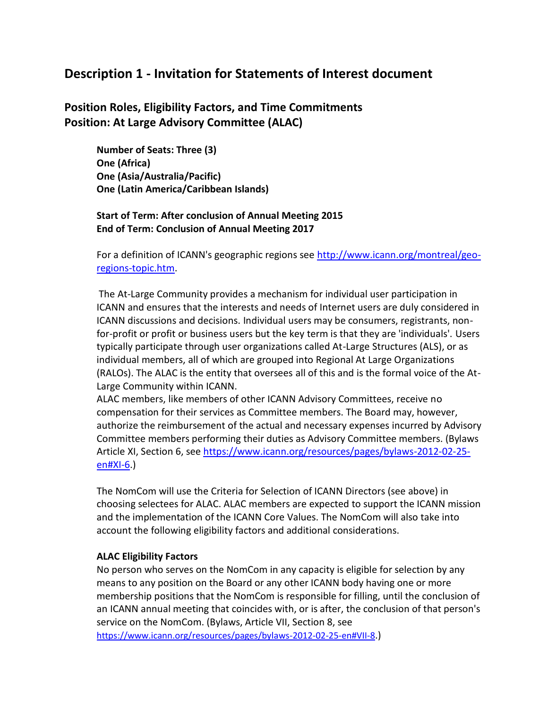# **Description 1 - Invitation for Statements of Interest document**

## **Position Roles, Eligibility Factors, and Time Commitments Position: At Large Advisory Committee (ALAC)**

**Number of Seats: Three (3) One (Africa) One (Asia/Australia/Pacific) One (Latin America/Caribbean Islands)** 

### **Start of Term: After conclusion of Annual Meeting 2015 End of Term: Conclusion of Annual Meeting 2017**

For a definition of ICANN's geographic regions see [http://www.icann.org/montreal/geo](http://www.icann.org/montreal/geo-regions-topic.htm)[regions-topic.htm.](http://www.icann.org/montreal/geo-regions-topic.htm)

The At-Large Community provides a mechanism for individual user participation in ICANN and ensures that the interests and needs of Internet users are duly considered in ICANN discussions and decisions. Individual users may be consumers, registrants, nonfor-profit or profit or business users but the key term is that they are 'individuals'. Users typically participate through user organizations called At-Large Structures (ALS), or as individual members, all of which are grouped into Regional At Large Organizations (RALOs). The ALAC is the entity that oversees all of this and is the formal voice of the At-Large Community within ICANN.

ALAC members, like members of other ICANN Advisory Committees, receive no compensation for their services as Committee members. The Board may, however, authorize the reimbursement of the actual and necessary expenses incurred by Advisory Committee members performing their duties as Advisory Committee members. (Bylaws Article XI, Section 6, see [https://www.icann.org/resources/pages/bylaws-2012-02-25](https://www.icann.org/resources/pages/bylaws-2012-02-25-en#XI-6) [en#XI-6.](https://www.icann.org/resources/pages/bylaws-2012-02-25-en#XI-6))

The NomCom will use the Criteria for Selection of ICANN Directors (see above) in choosing selectees for ALAC. ALAC members are expected to support the ICANN mission and the implementation of the ICANN Core Values. The NomCom will also take into account the following eligibility factors and additional considerations.

#### **ALAC Eligibility Factors**

No person who serves on the NomCom in any capacity is eligible for selection by any means to any position on the Board or any other ICANN body having one or more membership positions that the NomCom is responsible for filling, until the conclusion of an ICANN annual meeting that coincides with, or is after, the conclusion of that person's service on the NomCom. (Bylaws, Article VII, Section 8, see <https://www.icann.org/resources/pages/bylaws-2012-02-25-en#VII-8>.)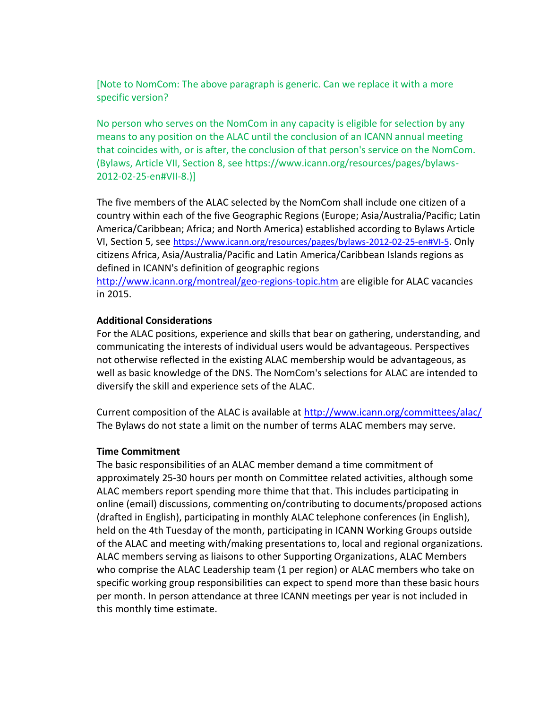[Note to NomCom: The above paragraph is generic. Can we replace it with a more specific version?

No person who serves on the NomCom in any capacity is eligible for selection by any means to any position on the ALAC until the conclusion of an ICANN annual meeting that coincides with, or is after, the conclusion of that person's service on the NomCom. (Bylaws, Article VII, Section 8, see https://www.icann.org/resources/pages/bylaws-2012-02-25-en#VII-8.)]

The five members of the ALAC selected by the NomCom shall include one citizen of a country within each of the five Geographic Regions (Europe; Asia/Australia/Pacific; Latin America/Caribbean; Africa; and North America) established according to Bylaws Article VI, Section 5, see <https://www.icann.org/resources/pages/bylaws-2012-02-25-en#VI-5>. Only citizens Africa, Asia/Australia/Pacific and Latin America/Caribbean Islands regions as defined in ICANN's definition of geographic regions <http://www.icann.org/montreal/geo-regions-topic.htm> are eligible for ALAC vacancies in 2015.

#### **Additional Considerations**

For the ALAC positions, experience and skills that bear on gathering, understanding, and communicating the interests of individual users would be advantageous. Perspectives not otherwise reflected in the existing ALAC membership would be advantageous, as well as basic knowledge of the DNS. The NomCom's selections for ALAC are intended to diversify the skill and experience sets of the ALAC.

Current composition of the ALAC is available at<http://www.icann.org/committees/alac/> The Bylaws do not state a limit on the number of terms ALAC members may serve.

#### **Time Commitment**

The basic responsibilities of an ALAC member demand a time commitment of approximately 25-30 hours per month on Committee related activities, although some ALAC members report spending more thime that that. This includes participating in online (email) discussions, commenting on/contributing to documents/proposed actions (drafted in English), participating in monthly ALAC telephone conferences (in English), held on the 4th Tuesday of the month, participating in ICANN Working Groups outside of the ALAC and meeting with/making presentations to, local and regional organizations. ALAC members serving as liaisons to other Supporting Organizations, ALAC Members who comprise the ALAC Leadership team (1 per region) or ALAC members who take on specific working group responsibilities can expect to spend more than these basic hours per month. In person attendance at three ICANN meetings per year is not included in this monthly time estimate.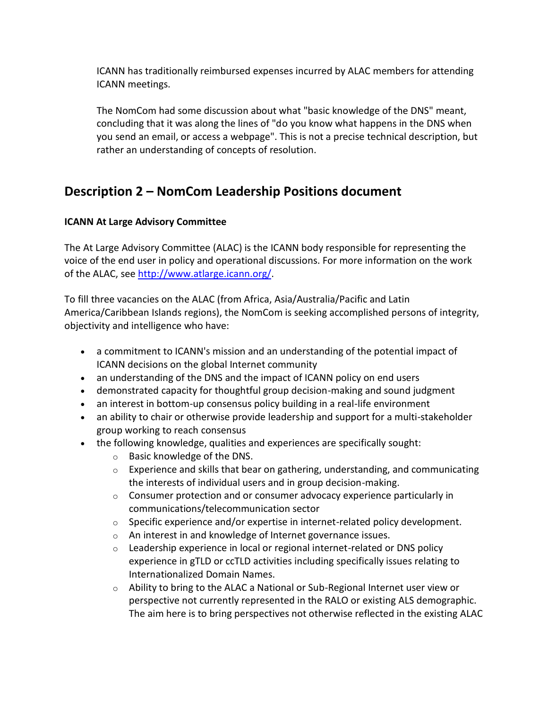ICANN has traditionally reimbursed expenses incurred by ALAC members for attending ICANN meetings.

The NomCom had some discussion about what "basic knowledge of the DNS" meant, concluding that it was along the lines of "do you know what happens in the DNS when you send an email, or access a webpage". This is not a precise technical description, but rather an understanding of concepts of resolution.

# **Description 2 – NomCom Leadership Positions document**

## **ICANN At Large Advisory Committee**

The At Large Advisory Committee (ALAC) is the ICANN body responsible for representing the voice of the end user in policy and operational discussions. For more information on the work of the ALAC, see [http://www.atlarge.icann.org/.](http://www.atlarge.icann.org/)

To fill three vacancies on the ALAC (from Africa, Asia/Australia/Pacific and Latin America/Caribbean Islands regions), the NomCom is seeking accomplished persons of integrity, objectivity and intelligence who have:

- a commitment to ICANN's mission and an understanding of the potential impact of ICANN decisions on the global Internet community
- an understanding of the DNS and the impact of ICANN policy on end users
- demonstrated capacity for thoughtful group decision-making and sound judgment
- an interest in bottom-up consensus policy building in a real-life environment
- an ability to chair or otherwise provide leadership and support for a multi-stakeholder group working to reach consensus
- the following knowledge, qualities and experiences are specifically sought:
	- o Basic knowledge of the DNS.
	- $\circ$  Experience and skills that bear on gathering, understanding, and communicating the interests of individual users and in group decision-making.
	- $\circ$  Consumer protection and or consumer advocacy experience particularly in communications/telecommunication sector
	- o Specific experience and/or expertise in internet-related policy development.
	- o An interest in and knowledge of Internet governance issues.
	- o Leadership experience in local or regional internet-related or DNS policy experience in gTLD or ccTLD activities including specifically issues relating to Internationalized Domain Names.
	- $\circ$  Ability to bring to the ALAC a National or Sub-Regional Internet user view or perspective not currently represented in the RALO or existing ALS demographic. The aim here is to bring perspectives not otherwise reflected in the existing ALAC